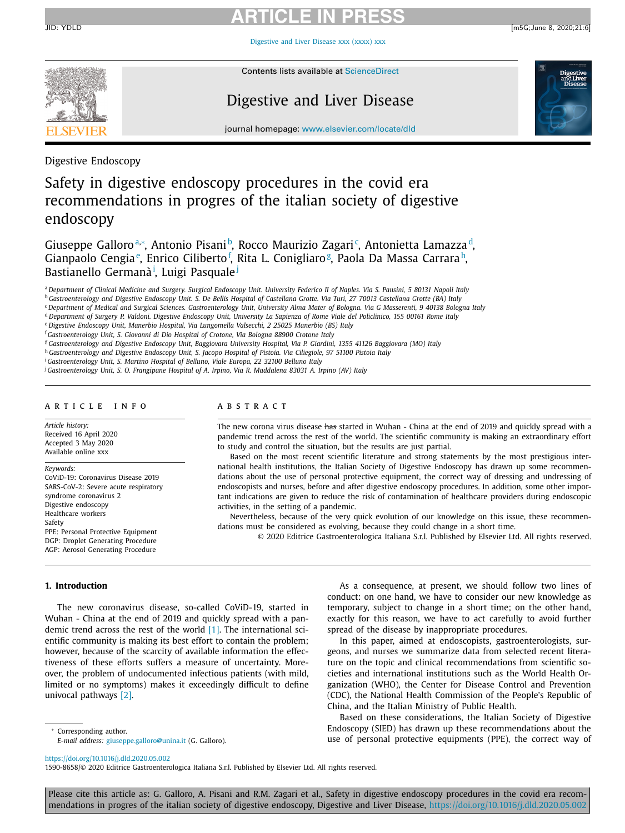[Digestive](https://doi.org/10.1016/j.dld.2020.05.002) and Liver Disease xxx (xxxx) xxx



Contents lists available at [ScienceDirect](http://www.ScienceDirect.com)

# Digestive and Liver Disease



journal homepage: [www.elsevier.com/locate/dld](http://www.elsevier.com/locate/dld)

Digestive Endoscopy

# Safety in digestive endoscopy procedures in the covid era recommendations in progres of the italian society of digestive endoscopy

Giuseppe Galloroª\*, Antonio Pisanib, Rocco Maurizio Zagari<sup>c</sup>, Antonietta Lamazza<sup>d</sup>, Gianpaolo Cengia<sup>e</sup>, Enrico Ciliberto<sup>f</sup>, Rita L. Conigliaro<sup>g</sup>, Paola Da Massa Carrara<sup>h</sup>, Bastianello Germanà<sup>i</sup>, Luigi Pasquale<sup>j</sup>

a Department of Clinical Medicine and Surgery, Surgical Endoscopy Unit, University Federico II of Naples, Via S. Pansini, 5 80131 Napoli Italy

<sup>b</sup> Gastroenterology and Digestive Endoscopy Unit. S. De Bellis Hospital of Castellana Grotte. Via Turi, 27 70013 Castellana Grotte (BA) Italy

<sup>c</sup> Department of Medical and Surgical Sciences. Gastroenterology Unit, University Alma Mater of Bologna. Via G Masserenti, 9 40138 Bologna Italy

<sup>d</sup> Department of Surgery P. Valdoni. Digestive Endoscopy Unit, University La Sapienza of Rome Viale del Policlinico, 155 00161 Rome Italy

<sup>e</sup> *Digestive Endoscopy Unit, Manerbio Hospital, Via Lungomella Valsecchi, 2 25025 Manerbio (BS) Italy*

<sup>f</sup> *Gastroenterology Unit, S. Giovanni di Dio Hospital of Crotone, Via Bologna 88900 Crotone Italy*

<sup>g</sup> Gastroenterology and Digestive Endoscopy Unit, Baggiovara University Hospital, Via P. Giardini, 1355 41126 Baggiovara (MO) Italy

h Gastroenterology and Digestive Endoscopy Unit, S. Jacopo Hospital of Pistoia. Via Ciliegiole, 97 51100 Pistoia Italy

<sup>i</sup> *Gastroenterology Unit, S. Martino Hospital of Belluno, Viale Europa, 22 32100 Belluno Italy*

<sup>j</sup> Gastroenterology Unit, S. O. Frangipane Hospital of A. Irpino, Via R. Maddalena 83031 A. Irpino (AV) Italy

### a r t i c l e i n f o

*Article history:* Received 16 April 2020 Accepted 3 May 2020 Available online xxx

*Keywords:*

CoViD-19: Coronavirus Disease 2019 SARS-CoV-2: Severe acute respiratory syndrome coronavirus 2 Digestive endoscopy Healthcare workers Safety PPE: Personal Protective Equipment DGP: Droplet Generating Procedure AGP: Aerosol Generating Procedure

### A B S T R A C T

The new corona virus disease has started in Wuhan - China at the end of 2019 and quickly spread with a pandemic trend across the rest of the world. The scientific community is making an extraordinary effort to study and control the situation, but the results are just partial.

Based on the most recent scientific literature and strong statements by the most prestigious international health institutions, the Italian Society of Digestive Endoscopy has drawn up some recommendations about the use of personal protective equipment, the correct way of dressing and undressing of endoscopists and nurses, before and after digestive endoscopy procedures. In addition, some other important indications are given to reduce the risk of contamination of healthcare providers during endoscopic activities, in the setting of a pandemic.

Nevertheless, because of the very quick evolution of our knowledge on this issue, these recommendations must be considered as evolving, because they could change in a short time.

© 2020 Editrice Gastroenterologica Italiana S.r.l. Published by Elsevier Ltd. All rights reserved.

### **1. Introduction**

The new coronavirus disease, so-called CoViD-19, started in Wuhan - China at the end of 2019 and quickly spread with a pandemic trend across the rest of the world [\[1\].](#page-6-0) The international scientific community is making its best effort to contain the problem; however, because of the scarcity of available information the effectiveness of these efforts suffers a measure of uncertainty. Moreover, the problem of undocumented infectious patients (with mild, limited or no symptoms) makes it exceedingly difficult to define univocal pathways [\[2\].](#page-6-0)

Corresponding author. *E-mail address:* [giuseppe.galloro@unina.it](mailto:giuseppe.galloro@unina.it) (G. Galloro).

As a consequence, at present, we should follow two lines of conduct: on one hand, we have to consider our new knowledge as temporary, subject to change in a short time; on the other hand, exactly for this reason, we have to act carefully to avoid further spread of the disease by inappropriate procedures.

In this paper, aimed at endoscopists, gastroenterologists, surgeons, and nurses we summarize data from selected recent literature on the topic and clinical recommendations from scientific societies and international institutions such as the World Health Organization (WHO), the Center for Disease Control and Prevention (CDC), the National Health Commission of the People's Republic of China, and the Italian Ministry of Public Health.

Based on these considerations, the Italian Society of Digestive Endoscopy (SIED) has drawn up these recommendations about the use of personal protective equipments (PPE), the correct way of

<https://doi.org/10.1016/j.dld.2020.05.002>

1590-8658/© 2020 Editrice Gastroenterologica Italiana S.r.l. Published by Elsevier Ltd. All rights reserved.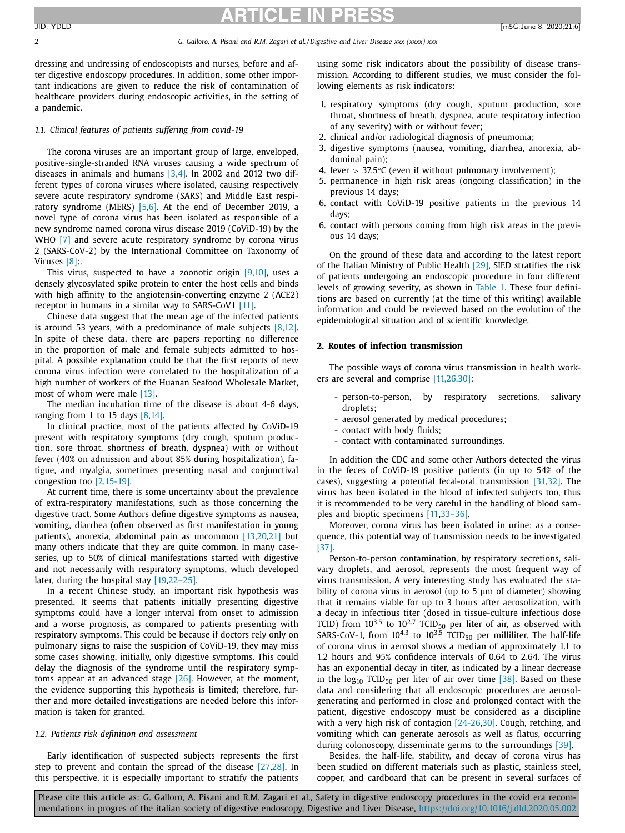2 *G. Galloro, A. Pisani and R.M. Zagari et al. /Digestive and Liver Disease xxx (xxxx) xxx*

dressing and undressing of endoscopists and nurses, before and after digestive endoscopy procedures. In addition, some other important indications are given to reduce the risk of contamination of healthcare providers during endoscopic activities, in the setting of a pandemic.

#### *1.1. Clinical features of patients suffering from covid-19*

The corona viruses are an important group of large, enveloped, positive-single-stranded RNA viruses causing a wide spectrum of diseases in animals and humans  $[3,4]$ . In 2002 and 2012 two different types of corona viruses where isolated, causing respectively severe acute respiratory syndrome (SARS) and Middle East respiratory syndrome (MERS)  $[5,6]$ . At the end of December 2019, a novel type of corona virus has been isolated as responsible of a new syndrome named corona virus disease 2019 (CoViD-19) by the WHO [\[7\]](#page-6-0) and severe acute respiratory syndrome by corona virus 2 (SARS-CoV-2) by the International Committee on Taxonomy of Viruses [8]..

This virus, suspected to have a zoonotic origin  $[9,10]$ , uses a densely glycosylated spike protein to enter the host cells and binds with high affinity to the angiotensin-converting enzyme 2 (ACE2) receptor in humans in a similar way to SARS-CoV1 [\[11\].](#page-6-0)

Chinese data suggest that the mean age of the infected patients is around 53 years, with a predominance of male subjects [\[8,12\].](#page-6-0) In spite of these data, there are papers reporting no difference in the proportion of male and female subjects admitted to hospital. A possible explanation could be that the first reports of new corona virus infection were correlated to the hospitalization of a high number of workers of the Huanan Seafood Wholesale Market, most of whom were male [\[13\].](#page-6-0)

The median incubation time of the disease is about 4-6 days, ranging from 1 to 15 days [\[8,14\].](#page-6-0)

In clinical practice, most of the patients affected by CoViD-19 present with respiratory symptoms (dry cough, sputum production, sore throat, shortness of breath, dyspnea) with or without fever (40% on admission and about 85% during hospitalization), fatigue, and myalgia, sometimes presenting nasal and conjunctival congestion too [\[2,15-19\].](#page-6-0)

At current time, there is some uncertainty about the prevalence of extra-respiratory manifestations, such as those concerning the digestive tract. Some Authors define digestive symptoms as nausea, vomiting, diarrhea (often observed as first manifestation in young patients), anorexia, abdominal pain as uncommon [\[13,20,21\]](#page-6-0) but many others indicate that they are quite common. In many caseseries, up to 50% of clinical manifestations started with digestive and not necessarily with respiratory symptoms, which developed later, during the hospital stay [\[19,22–25\].](#page-6-0)

In a recent Chinese study, an important risk hypothesis was presented. It seems that patients initially presenting digestive symptoms could have a longer interval from onset to admission and a worse prognosis, as compared to patients presenting with respiratory symptoms. This could be because if doctors rely only on pulmonary signs to raise the suspicion of CoViD-19, they may miss some cases showing, initially, only digestive symptoms. This could delay the diagnosis of the syndrome until the respiratory symptoms appear at an advanced stage [\[26\].](#page-6-0) However, at the moment, the evidence supporting this hypothesis is limited; therefore, further and more detailed investigations are needed before this information is taken for granted.

#### *1.2. Patients risk definition and assessment*

Early identification of suspected subjects represents the first step to prevent and contain the spread of the disease [\[27,28\].](#page-6-0) In this perspective, it is especially important to stratify the patients using some risk indicators about the possibility of disease transmission. According to different studies, we must consider the following elements as risk indicators:

- 1. respiratory symptoms (dry cough, sputum production, sore throat, shortness of breath, dyspnea, acute respiratory infection of any severity) with or without fever;
- 2. clinical and/or radiological diagnosis of pneumonia;
- 3. digestive symptoms (nausea, vomiting, diarrhea, anorexia, abdominal pain);
- 4. fever  $> 37.5$ °C (even if without pulmonary involvement);
- 5. permanence in high risk areas (ongoing classification) in the previous 14 days;
- 6. contact with CoViD-19 positive patients in the previous 14 days;
- 6. contact with persons coming from high risk areas in the previous 14 days;

On the ground of these data and according to the latest report of the Italian Ministry of Public Health [\[29\],](#page-6-0) SIED stratifies the risk of patients undergoing an endoscopic procedure in four different levels of growing severity, as shown in [Table](#page-2-0) 1. These four definitions are based on currently (at the time of this writing) available information and could be reviewed based on the evolution of the epidemiological situation and of scientific knowledge.

#### **2. Routes of infection transmission**

The possible ways of corona virus transmission in health workers are several and comprise [\[11,26,30\]:](#page-6-0)

- person-to-person, by respiratory secretions, salivary droplets;
- aerosol generated by medical procedures;
- contact with body fluids;
- contact with contaminated surroundings.

In addition the CDC and some other Authors detected the virus in the feces of CoViD-19 positive patients (in up to 54% of the cases), suggesting a potential fecal-oral transmission [\[31,32\].](#page-6-0) The virus has been isolated in the blood of infected subjects too, thus it is recommended to be very careful in the handling of blood samples and bioptic specimens [\[11,33–36\].](#page-6-0)

Moreover, corona virus has been isolated in urine: as a consequence, this potential way of transmission needs to be investigated [\[37\].](#page-6-0)

Person-to-person contamination, by respiratory secretions, salivary droplets, and aerosol, represents the most frequent way of virus transmission. A very interesting study has evaluated the stability of corona virus in aerosol (up to 5 μm of diameter) showing that it remains viable for up to 3 hours after aerosolization, with a decay in infectious titer (dosed in tissue-culture infectious dose TCID) from  $10^{3.5}$  to  $10^{2.7}$  TCID<sub>50</sub> per liter of air, as observed with SARS-CoV-1, from  $10^{4.3}$  to  $10^{3.5}$  TCID<sub>50</sub> per milliliter. The half-life of corona virus in aerosol shows a median of approximately 1.1 to 1.2 hours and 95% confidence intervals of 0.64 to 2.64. The virus has an exponential decay in titer, as indicated by a linear decrease in the  $log_{10}$  TCID<sub>50</sub> per liter of air over time  $[38]$ . Based on these data and considering that all endoscopic procedures are aerosolgenerating and performed in close and prolonged contact with the patient, digestive endoscopy must be considered as a discipline with a very high risk of contagion [\[24-26,30\].](#page-6-0) Cough, retching, and vomiting which can generate aerosols as well as flatus, occurring during colonoscopy, disseminate germs to the surroundings [\[39\].](#page-6-0)

Besides, the half-life, stability, and decay of corona virus has been studied on different materials such as plastic, stainless steel, copper, and cardboard that can be present in several surfaces of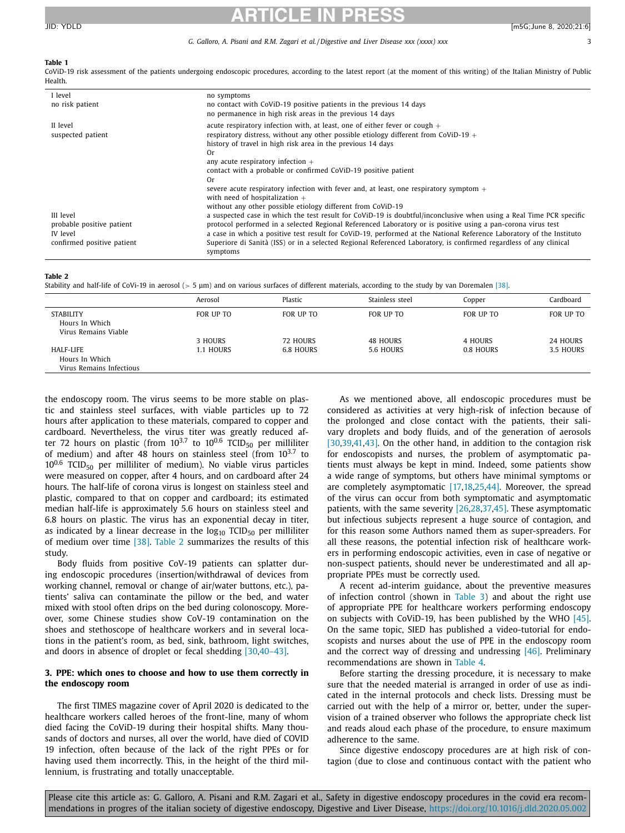#### <span id="page-2-0"></span>**Table 1**

CoViD-19 risk assessment of the patients undergoing endoscopic procedures, according to the latest report (at the moment of this writing) of the Italian Ministry of Public Health.

| I level<br>no risk patient                                              | no symptoms<br>no contact with CoViD-19 positive patients in the previous 14 days<br>no permanence in high risk areas in the previous 14 days                                                                                                                                                                                                                                                                                                                                                                                                                                                                                                                                                                                                                                                   |
|-------------------------------------------------------------------------|-------------------------------------------------------------------------------------------------------------------------------------------------------------------------------------------------------------------------------------------------------------------------------------------------------------------------------------------------------------------------------------------------------------------------------------------------------------------------------------------------------------------------------------------------------------------------------------------------------------------------------------------------------------------------------------------------------------------------------------------------------------------------------------------------|
| II level<br>suspected patient<br>III level<br>probable positive patient | acute respiratory infection with, at least, one of either fever or cough $+$<br>respiratory distress, without any other possible etiology different from CoViD-19 $+$<br>history of travel in high risk area in the previous 14 days<br>Or<br>any acute respiratory infection $+$<br>contact with a probable or confirmed CoViD-19 positive patient<br>Or<br>severe acute respiratory infection with fever and, at least, one respiratory symptom $+$<br>with need of hospitalization $+$<br>without any other possible etiology different from CoViD-19<br>a suspected case in which the test result for CoViD-19 is doubtful/inconclusive when using a Real Time PCR specific<br>protocol performed in a selected Regional Referenced Laboratory or is positive using a pan-corona virus test |
| IV level<br>confirmed positive patient                                  | a case in which a positive test result for CoViD-19, performed at the National Reference Laboratory of the Instituto<br>Superiore di Sanità (ISS) or in a selected Regional Referenced Laboratory, is confirmed regardless of any clinical<br>symptoms                                                                                                                                                                                                                                                                                                                                                                                                                                                                                                                                          |

#### **Table 2**

Stability and half-life of CoVi-19 in aerosol (> 5 μm) and on various surfaces of different materials, according to the study by van Doremalen [\[38\].](#page-6-0)

|                                                         | Aerosol              | Plastic                      | Stainless steel              | Copper               | Cardboard             |
|---------------------------------------------------------|----------------------|------------------------------|------------------------------|----------------------|-----------------------|
| STABILITY<br>Hours In Which<br>Virus Remains Viable     | FOR UP TO            | FOR UP TO                    | FOR UP TO                    | FOR UP TO            | FOR UP TO             |
| HALF-LIFE<br>Hours In Which<br>Virus Remains Infectious | 3 HOURS<br>1.1 HOURS | 72 HOURS<br><b>6.8 HOURS</b> | <b>48 HOURS</b><br>5.6 HOURS | 4 HOURS<br>0.8 HOURS | 24 HOURS<br>3.5 HOURS |

the endoscopy room. The virus seems to be more stable on plastic and stainless steel surfaces, with viable particles up to 72 hours after application to these materials, compared to copper and cardboard. Nevertheless, the virus titer was greatly reduced after 72 hours on plastic (from  $10^{3.7}$  to  $10^{0.6}$  TCID<sub>50</sub> per milliliter of medium) and after 48 hours on stainless steel (from  $10^{3.7}$  to  $10^{0.6}$  TCID<sub>50</sub> per milliliter of medium). No viable virus particles were measured on copper, after 4 hours, and on cardboard after 24 hours. The half-life of corona virus is longest on stainless steel and plastic, compared to that on copper and cardboard; its estimated median half-life is approximately 5.6 hours on stainless steel and 6.8 hours on plastic. The virus has an exponential decay in titer, as indicated by a linear decrease in the  $log_{10}$  TCID<sub>50</sub> per milliliter of medium over time [\[38\].](#page-6-0) Table 2 summarizes the results of this study.

Body fluids from positive CoV-19 patients can splatter during endoscopic procedures (insertion/withdrawal of devices from working channel, removal or change of air/water buttons, etc.), patients' saliva can contaminate the pillow or the bed, and water mixed with stool often drips on the bed during colonoscopy. Moreover, some Chinese studies show CoV-19 contamination on the shoes and stethoscope of healthcare workers and in several locations in the patient's room, as bed, sink, bathroom, light switches, and doors in absence of droplet or fecal shedding [\[30,40–43\].](#page-6-0)

### **3. PPE: which ones to choose and how to use them correctly in the endoscopy room**

The first TIMES magazine cover of April 2020 is dedicated to the healthcare workers called heroes of the front-line, many of whom died facing the CoViD-19 during their hospital shifts. Many thousands of doctors and nurses, all over the world, have died of COVID 19 infection, often because of the lack of the right PPEs or for having used them incorrectly. This, in the height of the third millennium, is frustrating and totally unacceptable.

As we mentioned above, all endoscopic procedures must be considered as activities at very high-risk of infection because of the prolonged and close contact with the patients, their salivary droplets and body fluids, and of the generation of aerosols [\[30,39,41,](#page-6-0)[43\].](#page-7-0) On the other hand, in addition to the contagion risk for endoscopists and nurses, the problem of asymptomatic patients must always be kept in mind. Indeed, some patients show a wide range of symptoms, but others have minimal symptoms or are completely asymptomatic [\[17,18,25](#page-6-0)[,44\].](#page-7-0) Moreover, the spread of the virus can occur from both symptomatic and asymptomatic patients, with the same severity [\[26,28,37](#page-6-0)[,45\].](#page-7-0) These asymptomatic but infectious subjects represent a huge source of contagion, and for this reason some Authors named them as super-spreaders. For all these reasons, the potential infection risk of healthcare workers in performing endoscopic activities, even in case of negative or non-suspect patients, should never be underestimated and all appropriate PPEs must be correctly used.

A recent ad-interim guidance, about the preventive measures of infection control (shown in [Table](#page-3-0) 3) and about the right use of appropriate PPE for healthcare workers performing endoscopy on subjects with CoViD-19, has been published by the WHO [\[45\].](#page-7-0) On the same topic, SIED has published a video-tutorial for endoscopists and nurses about the use of PPE in the endoscopy room and the correct way of dressing and undressing [\[46\].](#page-7-0) Preliminary recommendations are shown in [Table](#page-3-0) 4.

Before starting the dressing procedure, it is necessary to make sure that the needed material is arranged in order of use as indicated in the internal protocols and check lists. Dressing must be carried out with the help of a mirror or, better, under the supervision of a trained observer who follows the appropriate check list and reads aloud each phase of the procedure, to ensure maximum adherence to the same.

Since digestive endoscopy procedures are at high risk of contagion (due to close and continuous contact with the patient who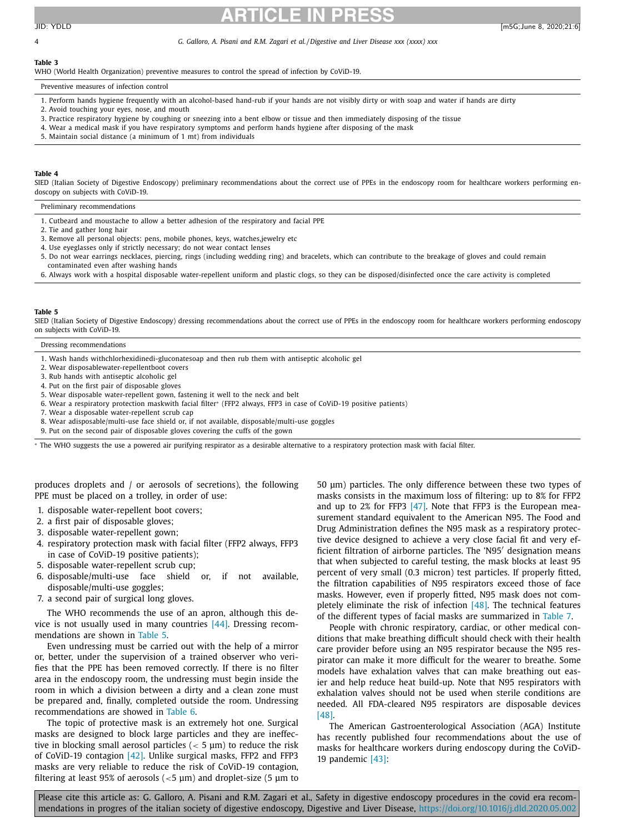<span id="page-3-0"></span>4 *G. Galloro, A. Pisani and R.M. Zagari et al. /Digestive and Liver Disease xxx (xxxx) xxx*

## **Table 3**

WHO (World Health Organization) preventive measures to control the spread of infection by CoViD-19.

Preventive measures of infection control

- 1. Perform hands hygiene frequently with an alcohol-based hand-rub if your hands are not visibly dirty or with soap and water if hands are dirty
- 2. Avoid touching your eyes, nose, and mouth
- 3. Practice respiratory hygiene by coughing or sneezing into a bent elbow or tissue and then immediately disposing of the tissue
- 4. Wear a medical mask if you have respiratory symptoms and perform hands hygiene after disposing of the mask
- 5. Maintain social distance (a minimum of 1 mt) from individuals

#### **Table 4**

SIED (Italian Society of Digestive Endoscopy) preliminary recommendations about the correct use of PPEs in the endoscopy room for healthcare workers performing endoscopy on subjects with CoViD-19.

Preliminary recommendations

- 1. Cutbeard and moustache to allow a better adhesion of the respiratory and facial PPE
- 2. Tie and gather long hair
- 3. Remove all personal objects: pens, mobile phones, keys, watches,jewelry etc
- 4. Use eyeglasses only if strictly necessary; do not wear contact lenses
- 5. Do not wear earrings necklaces, piercing, rings (including wedding ring) and bracelets, which can contribute to the breakage of gloves and could remain contaminated even after washing hands
- 6. Always work with a hospital disposable water-repellent uniform and plastic clogs, so they can be disposed/disinfected once the care activity is completed

#### **Table 5**

SIED (Italian Society of Digestive Endoscopy) dressing recommendations about the correct use of PPEs in the endoscopy room for healthcare workers performing endoscopy on subjects with CoViD-19.

Dressing recommendations

- 1. Wash hands withchlorhexidinedi-gluconatesoap and then rub them with antiseptic alcoholic gel
- 2. Wear disposablewater-repellentboot covers
- 3. Rub hands with antiseptic alcoholic gel
- 4. Put on the first pair of disposable gloves
- 5. Wear disposable water-repellent gown, fastening it well to the neck and belt
- 6. Wear a respiratory protection maskwith facial filter<sup>∗</sup> (FFP2 always, FFP3 in case of CoViD-19 positive patients)
- 7. Wear a disposable water-repellent scrub cap
- 8. Wear adisposable/multi-use face shield or, if not available, disposable/multi-use goggles
- 9. Put on the second pair of disposable gloves covering the cuffs of the gown

<sup>∗</sup> The WHO suggests the use a powered air purifying respirator as a desirable alternative to a respiratory protection mask with facial filter.

produces droplets and / or aerosols of secretions), the following PPE must be placed on a trolley, in order of use:

- 1. disposable water-repellent boot covers;
- 2. a first pair of disposable gloves;
- 3. disposable water-repellent gown;
- 4. respiratory protection mask with facial filter (FFP2 always, FFP3 in case of CoViD-19 positive patients);
- 5. disposable water-repellent scrub cup;
- 6. disposable/multi-use face shield or, if not available, disposable/multi-use goggles;
- 7. a second pair of surgical long gloves.

The WHO recommends the use of an apron, although this device is not usually used in many countries [\[44\].](#page-7-0) Dressing recommendations are shown in Table 5.

Even undressing must be carried out with the help of a mirror or, better, under the supervision of a trained observer who verifies that the PPE has been removed correctly. If there is no filter area in the endoscopy room, the undressing must begin inside the room in which a division between a dirty and a clean zone must be prepared and, finally, completed outside the room. Undressing recommendations are showed in [Table](#page-4-0) 6.

The topic of protective mask is an extremely hot one. Surgical masks are designed to block large particles and they are ineffective in blocking small aerosol particles ( $<$  5  $\mu$ m) to reduce the risk of CoViD-19 contagion [\[42\].](#page-6-0) Unlike surgical masks, FFP2 and FFP3 masks are very reliable to reduce the risk of CoViD-19 contagion, filtering at least 95% of aerosols ( $<$ 5  $\mu$ m) and droplet-size (5  $\mu$ m to 50 μm) particles. The only difference between these two types of masks consists in the maximum loss of filtering: up to 8% for FFP2 and up to 2% for FFP3  $[47]$ . Note that FFP3 is the European measurement standard equivalent to the American N95. The Food and Drug Administration defines the N95 mask as a respiratory protective device designed to achieve a very close facial fit and very efficient filtration of airborne particles. The 'N95' designation means that when subjected to careful testing, the mask blocks at least 95 percent of very small (0.3 micron) test particles. If properly fitted, the filtration capabilities of N95 respirators exceed those of face masks. However, even if properly fitted, N95 mask does not completely eliminate the risk of infection  $[48]$ . The technical features of the different types of facial masks are summarized in [Table](#page-4-0) 7.

People with chronic respiratory, cardiac, or other medical conditions that make breathing difficult should check with their health care provider before using an N95 respirator because the N95 respirator can make it more difficult for the wearer to breathe. Some models have exhalation valves that can make breathing out easier and help reduce heat build-up. Note that N95 respirators with exhalation valves should not be used when sterile conditions are needed. All FDA-cleared N95 respirators are disposable devices [\[48\].](#page-7-0)

The American Gastroenterological Association (AGA) Institute has recently published four recommendations about the use of masks for healthcare workers during endoscopy during the CoViD-19 pandemic [\[43\]:](#page-7-0)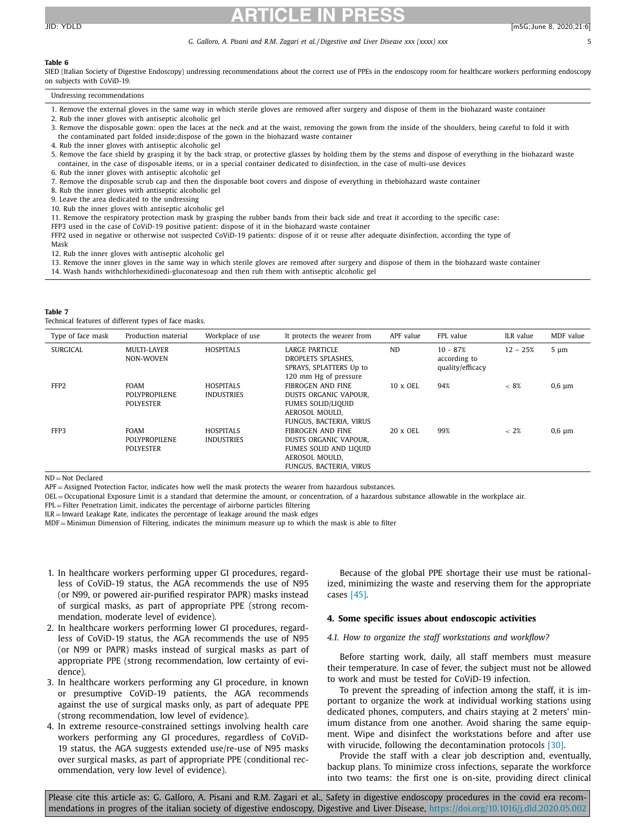#### <span id="page-4-0"></span>**Table 6**

SIED (Italian Society of Digestive Endoscopy) undressing recommendations about the correct use of PPEs in the endoscopy room for healthcare workers performing endoscopy on subjects with CoViD-19.

#### Undressing recommendations

- 1. Remove the external gloves in the same way in which sterile gloves are removed after surgery and dispose of them in the biohazard waste container
- 2. Rub the inner gloves with antiseptic alcoholic gel
- 3. Remove the disposable gown: open the laces at the neck and at the waist, removing the gown from the inside of the shoulders, being careful to fold it with the contaminated part folded inside;dispose of the gown in the biohazard waste container
- 4. Rub the inner gloves with antiseptic alcoholic gel
- 5. Remove the face shield by grasping it by the back strap, or protective glasses by holding them by the stems and dispose of everything in the biohazard waste container, in the case of disposable items, or in a special container dedicated to disinfection, in the case of multi-use devices
- 6. Rub the inner gloves with antiseptic alcoholic gel
- 7. Remove the disposable scrub cap and then the disposable boot covers and dispose of everything in thebiohazard waste container
- 8. Rub the inner gloves with antiseptic alcoholic gel
- 9. Leave the area dedicated to the undressing
- 10. Rub the inner gloves with antiseptic alcoholic gel
- 11. Remove the respiratory protection mask by grasping the rubber bands from their back side and treat it according to the specific case:
- FFP3 used in the case of CoViD-19 positive patient: dispose of it in the biohazard waste container
- FFP2 used in negative or otherwise not suspected CoViD-19 patients: dispose of it or reuse after adequate disinfection, according the type of

Mask

12. Rub the inner gloves with antiseptic alcoholic gel

- 13. Remove the inner gloves in the same way in which sterile gloves are removed after surgery and dispose of them in the biohazard waste container
- 14. Wash hands withchlorhexidinedi-gluconatesoap and then rub them with antiseptic alcoholic gel

#### **Table 7**

Technical features of different types of face masks.

| Type of face mask | Production material                                     | Workplace of use                      | It protects the wearer from                                                                                                 | APF value       | FPL value                                      | ILR value  | MDF value   |
|-------------------|---------------------------------------------------------|---------------------------------------|-----------------------------------------------------------------------------------------------------------------------------|-----------------|------------------------------------------------|------------|-------------|
| <b>SURGICAL</b>   | <b>MULTI-LAYER</b><br>NON-WOVEN                         | <b>HOSPITALS</b>                      | <b>LARGE PARTICLE</b><br>DROPLETS SPLASHES.<br>SPRAYS, SPLATTERS Up to<br>120 mm Hg of pressure                             | <b>ND</b>       | $10 - 87%$<br>according to<br>quality/efficacy | $12 - 25%$ | $5 \mu m$   |
| FFP2              | <b>FOAM</b><br>POLYPROPILENE<br><b>POLYESTER</b>        | <b>HOSPITALS</b><br><b>INDUSTRIES</b> | <b>FIBROGEN AND FINE</b><br>DUSTS ORGANIC VAPOUR.<br><b>FUMES SOLID/LIQUID</b><br>AEROSOL MOULD.<br>FUNGUS, BACTERIA, VIRUS | 10 x OEL        | 94%                                            | $~< 8\%$   | $0,6 \mu m$ |
| FFP3              | <b>FOAM</b><br><b>POLYPROPILENE</b><br><b>POLYESTER</b> | <b>HOSPITALS</b><br><b>INDUSTRIES</b> | FIBROGEN AND FINE<br>DUSTS ORGANIC VAPOUR,<br>FUMES SOLID AND LIQUID<br>AEROSOL MOULD.<br>FUNGUS, BACTERIA, VIRUS           | $20 \times$ OEL | 99%                                            | $~<~2\%$   | $0.6 \mu m$ |

 $ND = Not$  Declared

APF = Assigned Protection Factor, indicates how well the mask protects the wearer from hazardous substances.

OEL = Occupational Exposure Limit is a standard that determine the amount, or concentration, of a hazardous substance allowable in the workplace air.

FPL = Filter Penetration Limit, indicates the percentage of airborne particles filtering

 $ILR = Inward$  Leakage Rate, indicates the percentage of leakage around the mask edges

MDF = Minimun Dimension of Filtering, indicates the minimum measure up to which the mask is able to filter

- 1. In healthcare workers performing upper GI procedures, regardless of CoViD-19 status, the AGA recommends the use of N95 (or N99, or powered air-purified respirator PAPR) masks instead of surgical masks, as part of appropriate PPE (strong recommendation, moderate level of evidence).
- 2. In healthcare workers performing lower GI procedures, regardless of CoViD-19 status, the AGA recommends the use of N95 (or N99 or PAPR) masks instead of surgical masks as part of appropriate PPE (strong recommendation, low certainty of evidence).
- 3. In healthcare workers performing any GI procedure, in known or presumptive CoViD-19 patients, the AGA recommends against the use of surgical masks only, as part of adequate PPE (strong recommendation, low level of evidence).
- 4. In extreme resource-constrained settings involving health care workers performing any GI procedures, regardless of CoViD-19 status, the AGA suggests extended use/re-use of N95 masks over surgical masks, as part of appropriate PPE (conditional recommendation, very low level of evidence).

Because of the global PPE shortage their use must be rationalized, minimizing the waste and reserving them for the appropriate cases [\[45\].](#page-7-0)

#### **4. Some specific issues about endoscopic activities**

#### *4.1. How to organize the staff workstations and workflow?*

Before starting work, daily, all staff members must measure their temperature. In case of fever, the subject must not be allowed to work and must be tested for CoViD-19 infection.

To prevent the spreading of infection among the staff, it is important to organize the work at individual working stations using dedicated phones, computers, and chairs staying at 2 meters' minimum distance from one another. Avoid sharing the same equipment. Wipe and disinfect the workstations before and after use with virucide, following the decontamination protocols [\[30\].](#page-6-0)

Provide the staff with a clear job description and, eventually, backup plans. To minimize cross infections, separate the workforce into two teams: the first one is on-site, providing direct clinical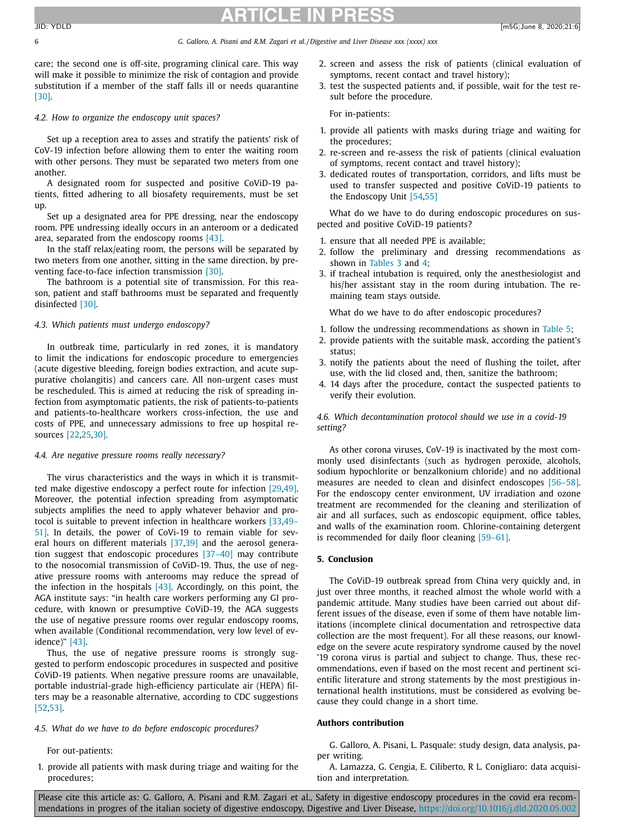6 *G. Galloro, A. Pisani and R.M. Zagari et al. /Digestive and Liver Disease xxx (xxxx) xxx*

care; the second one is off-site, programing clinical care. This way will make it possible to minimize the risk of contagion and provide substitution if a member of the staff falls ill or needs quarantine [\[30\].](#page-6-0)

#### *4.2. How to organize the endoscopy unit spaces?*

Set up a reception area to asses and stratify the patients' risk of CoV-19 infection before allowing them to enter the waiting room with other persons. They must be separated two meters from one another.

A designated room for suspected and positive CoViD-19 patients, fitted adhering to all biosafety requirements, must be set up.

Set up a designated area for PPE dressing, near the endoscopy room. PPE undressing ideally occurs in an anteroom or a dedicated area, separated from the endoscopy rooms [\[43\].](#page-7-0)

In the staff relax/eating room, the persons will be separated by two meters from one another, sitting in the same direction, by preventing face-to-face infection transmission [\[30\].](#page-6-0)

The bathroom is a potential site of transmission. For this reason, patient and staff bathrooms must be separated and frequently disinfected [\[30\].](#page-6-0)

#### *4.3. Which patients must undergo endoscopy?*

In outbreak time, particularly in red zones, it is mandatory to limit the indications for endoscopic procedure to emergencies (acute digestive bleeding, foreign bodies extraction, and acute suppurative cholangitis) and cancers care. All non-urgent cases must be rescheduled. This is aimed at reducing the risk of spreading infection from asymptomatic patients, the risk of patients-to-patients and patients-to-healthcare workers cross-infection, the use and costs of PPE, and unnecessary admissions to free up hospital resources [\[22,25,30\].](#page-6-0)

#### *4.4. Are negative pressure rooms really necessary?*

The virus characteristics and the ways in which it is transmitted make digestive endoscopy a perfect route for infection [\[29](#page-6-0)[,49\].](#page-7-0) Moreover, the potential infection spreading from asymptomatic subjects amplifies the need to apply whatever behavior and protocol is suitable to prevent infection in [healthcare](#page-7-0) workers [\[33,](#page-6-0)49– 51]. In details, the power of CoVi-19 to remain viable for several hours on different materials [\[37,39\]](#page-6-0) and the aerosol generation suggest that endoscopic procedures [\[37–40\]](#page-6-0) may contribute to the nosocomial transmission of CoViD-19. Thus, the use of negative pressure rooms with anterooms may reduce the spread of the infection in the hospitals  $[43]$ . Accordingly, on this point, the AGA institute says: "in health care workers performing any GI procedure, with known or presumptive CoViD-19, the AGA suggests the use of negative pressure rooms over regular endoscopy rooms, when available (Conditional recommendation, very low level of evidence)" [\[43\].](#page-7-0)

Thus, the use of negative pressure rooms is strongly suggested to perform endoscopic procedures in suspected and positive CoViD-19 patients. When negative pressure rooms are unavailable, portable industrial-grade high-efficiency particulate air (HEPA) filters may be a reasonable alternative, according to CDC suggestions [\[52,53\].](#page-7-0)

#### *4.5. What do we have to do before endoscopic procedures?*

For out-patients:

1. provide all patients with mask during triage and waiting for the procedures;

- 2. screen and assess the risk of patients (clinical evaluation of symptoms, recent contact and travel history);
- 3. test the suspected patients and, if possible, wait for the test result before the procedure.

For in-patients:

- 1. provide all patients with masks during triage and waiting for the procedures;
- 2. re-screen and re-assess the risk of patients (clinical evaluation of symptoms, recent contact and travel history);
- 3. dedicated routes of transportation, corridors, and lifts must be used to transfer suspected and positive CoViD-19 patients to the Endoscopy Unit [\[54,55\]](#page-7-0)

What do we have to do during endoscopic procedures on suspected and positive CoViD-19 patients?

- 1. ensure that all needed PPE is available;
- 2. follow the preliminary and dressing recommendations as shown in [Tables](#page-3-0) 3 and [4;](#page-3-0)
- 3. if tracheal intubation is required, only the anesthesiologist and his/her assistant stay in the room during intubation. The remaining team stays outside.

What do we have to do after endoscopic procedures?

- 1. follow the undressing recommendations as shown in [Table](#page-3-0) 5;
- 2. provide patients with the suitable mask, according the patient's status;
- 3. notify the patients about the need of flushing the toilet, after use, with the lid closed and, then, sanitize the bathroom;
- 4. 14 days after the procedure, contact the suspected patients to verify their evolution.

*4.6. Which decontamination protocol should we use in a covid-19 setting?*

As other corona viruses, CoV-19 is inactivated by the most commonly used disinfectants (such as hydrogen peroxide, alcohols, sodium hypochlorite or benzalkonium chloride) and no additional measures are needed to clean and disinfect endoscopes [\[56–58\].](#page-7-0) For the endoscopy center environment, UV irradiation and ozone treatment are recommended for the cleaning and sterilization of air and all surfaces, such as endoscopic equipment, office tables, and walls of the examination room. Chlorine-containing detergent is recommended for daily floor cleaning [\[59–61\].](#page-7-0)

### **5. Conclusion**

The CoViD-19 outbreak spread from China very quickly and, in just over three months, it reached almost the whole world with a pandemic attitude. Many studies have been carried out about different issues of the disease, even if some of them have notable limitations (incomplete clinical documentation and retrospective data collection are the most frequent). For all these reasons, our knowledge on the severe acute respiratory syndrome caused by the novel '19 corona virus is partial and subject to change. Thus, these recommendations, even if based on the most recent and pertinent scientific literature and strong statements by the most prestigious international health institutions, must be considered as evolving because they could change in a short time.

#### **Authors contribution**

G. Galloro, A. Pisani, L. Pasquale: study design, data analysis, paper writing.

A. Lamazza, G. Cengia, E. Ciliberto, R L. Conigliaro: data acquisition and interpretation.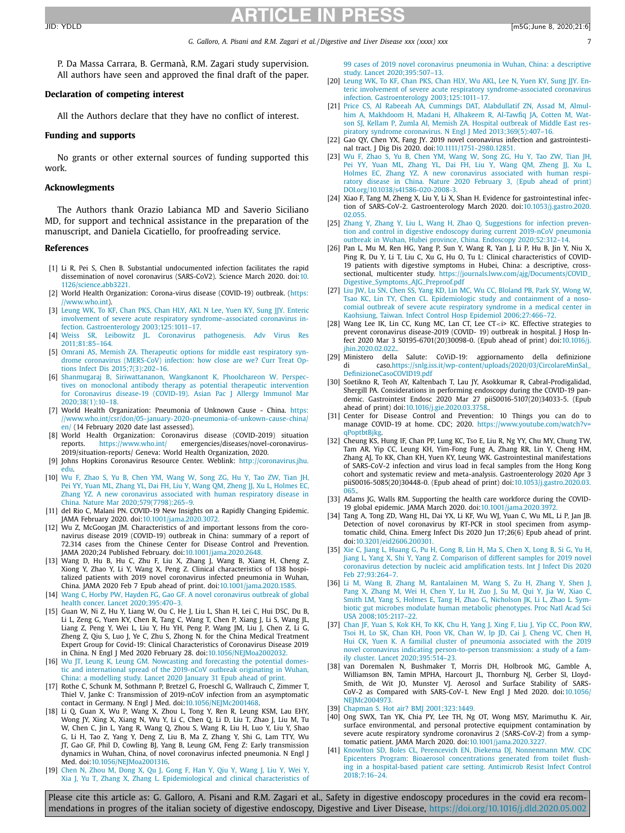<span id="page-6-0"></span>P. Da Massa Carrara, B. Germanà, R.M. Zagari study supervision. All authors have seen and approved the final draft of the paper.

#### **Declaration of competing interest**

All the Authors declare that they have no conflict of interest.

### **Funding and supports**

No grants or other external sources of funding supported this work.

#### **Acknowlegments**

The Authors thank Orazio Labianca MD and Saverio Siciliano MD, for support and technical assistance in the preparation of the manuscript, and Daniela Cicatiello, for proofreading service.

#### **References**

- [1] Li R, Pei S, Chen B. Substantial undocumented infection facilitates the rapid dissemination of novel coronavirus (SARS-CoV2). Science March 2020. doi:10. [1126/science.abb3221.](https://doi.org/10.1126/science.abb3221)
- [2] World Health Organization: Corona-virus disease (COVID-19) outbreak. (https: [//www.who.int\).](https://www.who.int)
- [3] [Leung](http://refhub.elsevier.com/S1590-8658(20)30191-2/sbref0002) WK, To [KF,](http://refhub.elsevier.com/S1590-8658(20)30191-2/sbref0002) [Chan](http://refhub.elsevier.com/S1590-8658(20)30191-2/sbref0002) PKS, Chan HLY, [AKL](http://refhub.elsevier.com/S1590-8658(20)30191-2/sbref0002) N Lee, [Yuen](http://refhub.elsevier.com/S1590-8658(20)30191-2/sbref0002) KY, [Sung](http://refhub.elsevier.com/S1590-8658(20)30191-2/sbref0002) JJY. Enteric involvement of severe acute respiratory [syndrome–associated](http://refhub.elsevier.com/S1590-8658(20)30191-2/sbref0002) coronavirus infection. Gastroenterology 2003;125:1011–17.
- [4] [Weiss](http://refhub.elsevier.com/S1590-8658(20)30191-2/sbref0003) SR, [Leibowitz](http://refhub.elsevier.com/S1590-8658(20)30191-2/sbref0003) JL. Coronavirus pathogenesis. Adv Virus Res [2011;81:85–164.](http://refhub.elsevier.com/S1590-8658(20)30191-2/sbref0003)
- [5] [Omrani](http://refhub.elsevier.com/S1590-8658(20)30191-2/sbref0004) AS, [Memish](http://refhub.elsevier.com/S1590-8658(20)30191-2/sbref0004) ZA. Therapeutic options for middle east respiratory syndrome coronavirus (MERS-CoV) infection: how close are we? Curr Treat Options Infect Dis [2015;7\(3\):202–16.](http://refhub.elsevier.com/S1590-8658(20)30191-2/sbref0004)
- [6] [Shanmugaraj](http://refhub.elsevier.com/S1590-8658(20)30191-2/sbref0005) B, [Siriwattananon,](http://refhub.elsevier.com/S1590-8658(20)30191-2/sbref0005) [Wangkanont](http://refhub.elsevier.com/S1590-8658(20)30191-2/sbref0005) K, [Phoolchareon](http://refhub.elsevier.com/S1590-8658(20)30191-2/sbref0005) W. Perspectives on monoclonal antibody therapy as potential therapeutic intervention for Coronavirus disease-19 (COVID-19). Asian Pac J Allergy Immunol Mar [2020;38\(1\):10–18.](http://refhub.elsevier.com/S1590-8658(20)30191-2/sbref0005)
- [7] World Health Organization: Pneumonia of Unknown Cause China. https: [//www.who.int/csr/don/05-january-2020-pneumonia-of-unkown-cause-china/](https://www.who.int/csr/don/05-january-2020-pneumonia-of-unkown-cause-china/en/)  $\frac{1}{\pi}$  (14 February 2020 date last assessed).
- [8] World Health Organization: Coronavirus disease (COVID-2019) situation reports. <https://www.who.int/> emergencies/diseases/novel-coronavirus-2019/situation-reports/ Geneva: World Health Organization, 2020.
- [9] Johns Hopkins Coronavirus Resource Center. Weblink: [http://coronavirus.jhu.](http://coronavirus.jhu.edu) edu.
- [10] [Wu](http://refhub.elsevier.com/S1590-8658(20)30191-2/sbref0006) F, [Zhao](http://refhub.elsevier.com/S1590-8658(20)30191-2/sbref0006) S, [Yu](http://refhub.elsevier.com/S1590-8658(20)30191-2/sbref0006) B, [Chen](http://refhub.elsevier.com/S1590-8658(20)30191-2/sbref0006) YM, [Wang](http://refhub.elsevier.com/S1590-8658(20)30191-2/sbref0006) W, [Song](http://refhub.elsevier.com/S1590-8658(20)30191-2/sbref0006) ZG, [Hu](http://refhub.elsevier.com/S1590-8658(20)30191-2/sbref0006) Y, Tao [ZW,](http://refhub.elsevier.com/S1590-8658(20)30191-2/sbref0006) [Tian](http://refhub.elsevier.com/S1590-8658(20)30191-2/sbref0006) JH, [Pei](http://refhub.elsevier.com/S1590-8658(20)30191-2/sbref0006) YY, [Yuan](http://refhub.elsevier.com/S1590-8658(20)30191-2/sbref0006) ML, [Zhang](http://refhub.elsevier.com/S1590-8658(20)30191-2/sbref0006) YL, [Dai](http://refhub.elsevier.com/S1590-8658(20)30191-2/sbref0006) FH, [Liu](http://refhub.elsevier.com/S1590-8658(20)30191-2/sbref0006) Y, [Wang](http://refhub.elsevier.com/S1590-8658(20)30191-2/sbref0006) QM, [Zheng](http://refhub.elsevier.com/S1590-8658(20)30191-2/sbref0006) JJ, [Xu](http://refhub.elsevier.com/S1590-8658(20)30191-2/sbref0006) L, [Holmes](http://refhub.elsevier.com/S1590-8658(20)30191-2/sbref0006) EC, [Zhang](http://refhub.elsevier.com/S1590-8658(20)30191-2/sbref0006) YZ. A new coronavirus associated with human respiratory disease in China. Nature Mar [2020;579\(7798\):265–9.](http://refhub.elsevier.com/S1590-8658(20)30191-2/sbref0006)
- [11] del Rio C, Malani PN. COVID-19 New Insights on a Rapidly Changing Epidemic. JAMA February 2020. doi[:10.1001/jama.2020.3072.](https://doi.org/10.1001/jama.2020.3072)
- [12] Wu Z, McGoogan JM. Characteristics of and important lessons from the coronavirus disease 2019 (COVID-19) outbreak in China: summary of a report of 72.314 cases from the Chinese Center for Disease Control and Prevention. JAMA 2020;24 Published February. doi[:10.1001/jama.2020.2648.](https://doi.org/10.1001/jama.2020.2648)
- [13] Wang D, Hu B, Hu C, Zhu F, Liu X, Zhang J, Wang B, Xiang H, Cheng Z, Xiong Y, Zhao Y, Li Y, Wang X, Peng Z. Clinical characteristics of 138 hospitalized patients with 2019 novel coronavirus infected pneumonia in Wuhan, China. JAMA 2020 Feb 7 Epub ahead of print. doi[:10.1001/jama.2020.1585.](https://doi.org/10.1001/jama.2020.1585)
- [14] [Wang](http://refhub.elsevier.com/S1590-8658(20)30191-2/sbref0010) C, [Horby](http://refhub.elsevier.com/S1590-8658(20)30191-2/sbref0010) PW, [Hayden](http://refhub.elsevier.com/S1590-8658(20)30191-2/sbref0010) FG, [Gao](http://refhub.elsevier.com/S1590-8658(20)30191-2/sbref0010) GF. A novel coronavirus outbreak of global health concer. Lancet [2020;395:470–3.](http://refhub.elsevier.com/S1590-8658(20)30191-2/sbref0010)
- [15] Guan W, Ni Z, Hu Y, Liang W, Ou C, He J, Liu L, Shan H, Lei C, Hui DSC, Du B, Li L, Zeng G, Yuen KY, Chen R, Tang C, Wang T, Chen P, Xiang J, Li S, Wang JL, Liang Z, Peng Y, Wei L, Liu Y, Hu YH, Peng P, Wang JM, Liu J, Chen Z, Li G, Zheng Z, Qiu S, Luo J, Ye C, Zhu S, Zhong N. for the China Medical Treatment Expert Group for Covid-19: Clinical Characteristics of Coronavirus Disease 2019 in China. N Engl J Med 2020 February 28. doi[:10.1056/NEJMoa2002032.](https://doi.org/10.1056/NEJMoa2002032)
- [16] [Wu](http://refhub.elsevier.com/S1590-8658(20)30191-2/sbref0012) JT, [Leung](http://refhub.elsevier.com/S1590-8658(20)30191-2/sbref0012) K, Leung GM. Nowcasting and forecasting the potential domestic and [international](http://refhub.elsevier.com/S1590-8658(20)30191-2/sbref0012) spread of the 2019-nCoV outbreak originating in Wuhan, China: a modelling study. Lancet 2020 January 31 Epub ahead of print.
- [17] Rothe C, Schunk M, Sothmann P, Bretzel G, Froeschl G, Wallrauch C, Zimmer T, Thiel V, Janke C: Transmission of 2019-nCoV infection from an asymptomatic contact in Germany. N Engl J Med. doi[:10.1056/NEJMc2001468.](https://doi.org/10.1056/NEJMc2001468)
- [18] Li Q, Guan X, Wu P, Wang X, Zhou L, Tong Y, Ren R, Leung KSM, Lau EHY, Wong JY, Xing X, Xiang N, Wu Y, Li C, Chen Q, Li D, Liu T, Zhao J, Liu M, Tu W, Chen C, Jin L, Yang R, Wang Q, Zhou S, Wang R, Liu H, Luo Y, Liu Y, Shao G, Li H, Tao Z, Yang Y, Deng Z, Liu B, Ma Z, Zhang Y, Shi G, Lam TTY, Wu JT, Gao GF, Phil D, Cowling BJ, Yang B, Leung GM, Feng Z: Early transmission dynamics in Wuhan, China, of novel coronavirus infected pneumonia. N Engl J Med. doi[:10.1056/NEJMoa2001316.](https://doi.org/10.1056/NEJMoa2001316)
- [19] [Chen](http://refhub.elsevier.com/S1590-8658(20)30191-2/sbref0013) N, [Zhou](http://refhub.elsevier.com/S1590-8658(20)30191-2/sbref0013) M, [Dong](http://refhub.elsevier.com/S1590-8658(20)30191-2/sbref0013) X, [Qu](http://refhub.elsevier.com/S1590-8658(20)30191-2/sbref0013) J, [Gong](http://refhub.elsevier.com/S1590-8658(20)30191-2/sbref0013) F, [Han](http://refhub.elsevier.com/S1590-8658(20)30191-2/sbref0013) Y, [Qiu](http://refhub.elsevier.com/S1590-8658(20)30191-2/sbref0013) Y, [Wang](http://refhub.elsevier.com/S1590-8658(20)30191-2/sbref0013) J, [Liu](http://refhub.elsevier.com/S1590-8658(20)30191-2/sbref0013) Y, [Wei](http://refhub.elsevier.com/S1590-8658(20)30191-2/sbref0013) Y, [Xia](http://refhub.elsevier.com/S1590-8658(20)30191-2/sbref0013) J, [Yu](http://refhub.elsevier.com/S1590-8658(20)30191-2/sbref0013) T, [Zhang](http://refhub.elsevier.com/S1590-8658(20)30191-2/sbref0013) X, [Zhang](http://refhub.elsevier.com/S1590-8658(20)30191-2/sbref0013) L. [Epidemiological](http://refhub.elsevier.com/S1590-8658(20)30191-2/sbref0013) and clinical characteristics of

99 cases of 2019 novel coronavirus pneumonia in Wuhan, China: a descriptive study. Lancet [2020;395:507–13.](http://refhub.elsevier.com/S1590-8658(20)30191-2/sbref0013)

- [20] [Leung](http://refhub.elsevier.com/S1590-8658(20)30191-2/sbref0014) WK, To [KF,](http://refhub.elsevier.com/S1590-8658(20)30191-2/sbref0014) [Chan](http://refhub.elsevier.com/S1590-8658(20)30191-2/sbref0014) PKS, [Chan](http://refhub.elsevier.com/S1590-8658(20)30191-2/sbref0014) HLY, Wu [AKL,](http://refhub.elsevier.com/S1590-8658(20)30191-2/sbref0014) [Lee](http://refhub.elsevier.com/S1590-8658(20)30191-2/sbref0014) N, [Yuen](http://refhub.elsevier.com/S1590-8658(20)30191-2/sbref0014) KY, [Sung](http://refhub.elsevier.com/S1590-8658(20)30191-2/sbref0014) JJY. Enteric involvement of severe acute respiratory [syndrome-associated](http://refhub.elsevier.com/S1590-8658(20)30191-2/sbref0014) coronavirus infection. Gastroenterology 2003;125:1011–17.
- [21] [Price](http://refhub.elsevier.com/S1590-8658(20)30191-2/sbref0015) CS, Al [Rabeeah](http://refhub.elsevier.com/S1590-8658(20)30191-2/sbref0015) AA, [Cummings](http://refhub.elsevier.com/S1590-8658(20)30191-2/sbref0015) DAT, [Alabdullatif](http://refhub.elsevier.com/S1590-8658(20)30191-2/sbref0015) ZN, [Assad](http://refhub.elsevier.com/S1590-8658(20)30191-2/sbref0015) M, Almulhim A, [Makhdoom](http://refhub.elsevier.com/S1590-8658(20)30191-2/sbref0015) H, [Madani](http://refhub.elsevier.com/S1590-8658(20)30191-2/sbref0015) H, [Alhakeem](http://refhub.elsevier.com/S1590-8658(20)30191-2/sbref0015) R, [Al-Tawfiq](http://refhub.elsevier.com/S1590-8658(20)30191-2/sbref0015) JA, [Cotten](http://refhub.elsevier.com/S1590-8658(20)30191-2/sbref0015) M, Watson SJ, [Kellam](http://refhub.elsevier.com/S1590-8658(20)30191-2/sbref0015) P, [Zumla](http://refhub.elsevier.com/S1590-8658(20)30191-2/sbref0015) AI, [Memish](http://refhub.elsevier.com/S1590-8658(20)30191-2/sbref0015) ZA. Hospital outbreak of Middle East respiratory syndrome coronavirus. N Engl J Med [2013;369\(5\):407–16.](http://refhub.elsevier.com/S1590-8658(20)30191-2/sbref0015)
- [22] Gao QY, Chen YX, Fang JY. 2019 novel coronavirus infection and gastrointestinal tract. J Dig Dis 2020. doi[:10.1111/1751-2980.12851.](https://doi.org/10.1111/1751-2980.12851)
- [23] [Wu](http://refhub.elsevier.com/S1590-8658(20)30191-2/sbref0017) F, [Zhao](http://refhub.elsevier.com/S1590-8658(20)30191-2/sbref0017) S, [Yu](http://refhub.elsevier.com/S1590-8658(20)30191-2/sbref0017) B, [Chen](http://refhub.elsevier.com/S1590-8658(20)30191-2/sbref0017) YM, [Wang](http://refhub.elsevier.com/S1590-8658(20)30191-2/sbref0017) W, [Song](http://refhub.elsevier.com/S1590-8658(20)30191-2/sbref0017) ZG, [Hu](http://refhub.elsevier.com/S1590-8658(20)30191-2/sbref0017) Y, Tao [ZW,](http://refhub.elsevier.com/S1590-8658(20)30191-2/sbref0017) [Tian](http://refhub.elsevier.com/S1590-8658(20)30191-2/sbref0017) JH, Pei [YY,](http://refhub.elsevier.com/S1590-8658(20)30191-2/sbref0017) [Yuan](http://refhub.elsevier.com/S1590-8658(20)30191-2/sbref0017) ML, [Zhang](http://refhub.elsevier.com/S1590-8658(20)30191-2/sbref0017) YL, [Dai](http://refhub.elsevier.com/S1590-8658(20)30191-2/sbref0017) FH, [Liu](http://refhub.elsevier.com/S1590-8658(20)30191-2/sbref0017) Y, [Wang](http://refhub.elsevier.com/S1590-8658(20)30191-2/sbref0017) QM, [Zheng](http://refhub.elsevier.com/S1590-8658(20)30191-2/sbref0017) JJ, [Xu](http://refhub.elsevier.com/S1590-8658(20)30191-2/sbref0017) L, [Holmes](http://refhub.elsevier.com/S1590-8658(20)30191-2/sbref0017) EC, [Zhang](http://refhub.elsevier.com/S1590-8658(20)30191-2/sbref0017) YZ. A new coronavirus associated with human respiratory disease in China. Nature 2020 February 3, (Epub ahead of print) [DOI.org/10.1038/s41586-020-2008-3.](http://refhub.elsevier.com/S1590-8658(20)30191-2/sbref0017)
- [24] Xiao F, Tang M, Zheng X, Liu Y, Li X, Shan H. Evidence for gastrointestinal infection of SARS-CoV-2. Gastroenterology March 2020. [doi:10.1053/j.gastro.2020.](https://doi.org/10.1053/j.gastro.2020.02.055) 02.055.
- [25] [Zhang](http://refhub.elsevier.com/S1590-8658(20)30191-2/sbref0019) Y, Zhang Y, [Liu](http://refhub.elsevier.com/S1590-8658(20)30191-2/sbref0019) L, [Wang](http://refhub.elsevier.com/S1590-8658(20)30191-2/sbref0019) H, [Zhao](http://refhub.elsevier.com/S1590-8658(20)30191-2/sbref0019) Q. Suggestions for infection prevention and control in digestive endoscopy during current 2019-nCoV pneumonia outbreak in Wuhan, Hubei province, China. Endoscopy [2020;52:312–14.](http://refhub.elsevier.com/S1590-8658(20)30191-2/sbref0019)
- [26] Pan L, Mu M, Ren HG, Yang P, Sun Y, Wang R, Yan J, Li P, Hu B, Jin Y, Niu X, Ping R, Du Y, Li T, Liu C, Xu G, Hu O, Tu L: Clinical characteristics of COVID-19 patients with digestive symptoms in Hubei, China: a descriptive, crosssectional, multicenter study. [https://journals.lww.com/ajg/Documents/COVID\\_](https://journals.lww.com/ajg/Documents/COVID_Digestive_Symptoms_AJG_Preproof.pdf) Digestive\_Symptoms\_AJG\_Preproof.pdf
- [27] Liu [JW,](http://refhub.elsevier.com/S1590-8658(20)30191-2/sbref0020) Lu [SN,](http://refhub.elsevier.com/S1590-8658(20)30191-2/sbref0020) [Chen](http://refhub.elsevier.com/S1590-8658(20)30191-2/sbref0020) SS, [Yang](http://refhub.elsevier.com/S1590-8658(20)30191-2/sbref0020) KD, Lin [MC,](http://refhub.elsevier.com/S1590-8658(20)30191-2/sbref0020) [Wu](http://refhub.elsevier.com/S1590-8658(20)30191-2/sbref0020) CC, [Bloland](http://refhub.elsevier.com/S1590-8658(20)30191-2/sbref0020) PB, [Park](http://refhub.elsevier.com/S1590-8658(20)30191-2/sbref0020) SY, [Wong](http://refhub.elsevier.com/S1590-8658(20)30191-2/sbref0020) W, [Tsao](http://refhub.elsevier.com/S1590-8658(20)30191-2/sbref0020) KC, [Lin](http://refhub.elsevier.com/S1590-8658(20)30191-2/sbref0020) TY, [Chen](http://refhub.elsevier.com/S1590-8658(20)30191-2/sbref0020) [CL. Epidemiologic](http://refhub.elsevier.com/S1590-8658(20)30191-2/sbref0020) study and containment of a nosocomial outbreak of severe acute respiratory syndrome in a medical center in Kaohsiung, Taiwan. Infect Control Hosp Epidemiol 2006;27:466–72.
- [28] Wang Lee IK, Lin CC, Kung MC, Lan CT, Lee CT<i> KC. Effective strategies to prevent coronavirus disease-2019 (COVID- 19) outbreak in hospital. J Hosp Infect 2020 Mar 3 [S0195-6701\(20\)30098-0.](https://doi.org/10.1016/j.jhin.2020.02.022) (Epub ahead of print) doi:10.1016/j. jhin.2020.02.022..
- [29] Ministero della Salute: CoViD-19: aggiornamento della definizione di [caso.https://snlg.iss.it/wp-content/uploads/2020/03/CircolareMinSal\\_](https://snlg.iss.it/wp-content/uploads/2020/03/CircolareMinSal_DefinizioneCasoCOVID19.pdf) DefinizioneCasoCOVID19.pdf
- [30] Soetikno R, Teoh AY, Kaltenbach T, Lau JY, Asokkumar R, Cabral-Prodigalidad, Shergill PA. Considerations in performing endoscopy during the COVID-19 pandemic. Gastrointest Endosc 2020 Mar 27 piiS0016-5107(20)34033-5. (Epub ahead of print) doi[:10.1016/j.gie.2020.03.3758.](https://doi.org/10.1016/j.gie.2020.03.3758).
- [31] Center for Disease Control and Prevention: 10 Things you can do to manage COVID-19 at home. CDC; 2020. [https://www.youtube.com/watch?v=](https://www.youtube.com/watch?v=qPoptbtBjkg) qPoptbtBjkg.
- [32] Cheung KS, Hung IF, Chan PP, Lung KC, Tso E, Liu R, Ng YY, Chu MY, Chung TW, Tam AR, Yip CC, Leung KH, Yim-Fong Fung A, Zhang RR, Lin Y, Cheng HM, Zhang AJ, To KK, Chan KH, Yuen KY, Leung WK. Gastrointestinal manifestations of SARS-CoV-2 infection and virus load in fecal samples from the Hong Kong cohort and systematic review and meta-analysis. Gastroenterology 2020 Apr 3 piiS0016-5085(20)30448-0. (Epub ahead of print) [doi:10.1053/j.gastro.2020.03.](https://doi.org/10.1053/j.gastro.2020.03.065) 065..
- [33] Adams JG, Walls RM. Supporting the health care workforce during the COVID-19 global epidemic. JAMA March 2020. doi[:10.1001/jama.2020.3972.](https://doi.org/10.1001/jama.2020.3972)
- [34] Tang A, Tong ZD, Wang HL, Dai YX, Li KF, Wu WJ, Yuan C, Wu ML, Li P, Jan JB. Detection of novel coronavirus by RT-PCR in stool specimen from asymptomatic child, China. Emerg Infect Dis 2020 Jun 17;26(6) Epub ahead of print. doi[:10.3201/eid2606.200301.](https://doi.org/10.3201/eid2606.200301)
- [35] [Xie](http://refhub.elsevier.com/S1590-8658(20)30191-2/sbref0026) C, [Jiang](http://refhub.elsevier.com/S1590-8658(20)30191-2/sbref0026) L, [Huang](http://refhub.elsevier.com/S1590-8658(20)30191-2/sbref0026) G, [Pu](http://refhub.elsevier.com/S1590-8658(20)30191-2/sbref0026) H, [Gong](http://refhub.elsevier.com/S1590-8658(20)30191-2/sbref0026) B, [Lin](http://refhub.elsevier.com/S1590-8658(20)30191-2/sbref0026) H, [Ma](http://refhub.elsevier.com/S1590-8658(20)30191-2/sbref0026) S, [Chen](http://refhub.elsevier.com/S1590-8658(20)30191-2/sbref0026) X, [Long](http://refhub.elsevier.com/S1590-8658(20)30191-2/sbref0026) B, Si [G,](http://refhub.elsevier.com/S1590-8658(20)30191-2/sbref0026) [Yu](http://refhub.elsevier.com/S1590-8658(20)30191-2/sbref0026) H, [Jiang](http://refhub.elsevier.com/S1590-8658(20)30191-2/sbref0026) L, [Yang](http://refhub.elsevier.com/S1590-8658(20)30191-2/sbref0026) X, [Shi](http://refhub.elsevier.com/S1590-8658(20)30191-2/sbref0026) Y, [Yang](http://refhub.elsevier.com/S1590-8658(20)30191-2/sbref0026) Z. Comparison of different samples for 2019 novel coronavirus detection by nucleic acid amplification tests. Int J Infect Dis 2020 Feb 27:93:264-7
- [36] Li [M,](http://refhub.elsevier.com/S1590-8658(20)30191-2/sbref0027) [Wang](http://refhub.elsevier.com/S1590-8658(20)30191-2/sbref0027) B, [Zhang](http://refhub.elsevier.com/S1590-8658(20)30191-2/sbref0027) M, [Rantalainen](http://refhub.elsevier.com/S1590-8658(20)30191-2/sbref0027) M, [Wang](http://refhub.elsevier.com/S1590-8658(20)30191-2/sbref0027) S, [Zu](http://refhub.elsevier.com/S1590-8658(20)30191-2/sbref0027) H, [Zhang](http://refhub.elsevier.com/S1590-8658(20)30191-2/sbref0027) Y, [Shen](http://refhub.elsevier.com/S1590-8658(20)30191-2/sbref0027) J, [Pang](http://refhub.elsevier.com/S1590-8658(20)30191-2/sbref0027) X, [Zhang](http://refhub.elsevier.com/S1590-8658(20)30191-2/sbref0027) M, [Wei](http://refhub.elsevier.com/S1590-8658(20)30191-2/sbref0027) H, [Chen](http://refhub.elsevier.com/S1590-8658(20)30191-2/sbref0027) Y, [Lu](http://refhub.elsevier.com/S1590-8658(20)30191-2/sbref0027) H, [Zuo](http://refhub.elsevier.com/S1590-8658(20)30191-2/sbref0027) J, Su [M,](http://refhub.elsevier.com/S1590-8658(20)30191-2/sbref0027) [Qui](http://refhub.elsevier.com/S1590-8658(20)30191-2/sbref0027) Y, Jia [W,](http://refhub.elsevier.com/S1590-8658(20)30191-2/sbref0027) [Xiao](http://refhub.elsevier.com/S1590-8658(20)30191-2/sbref0027) C, [Smith](http://refhub.elsevier.com/S1590-8658(20)30191-2/sbref0027) LM, [Yang](http://refhub.elsevier.com/S1590-8658(20)30191-2/sbref0027) S, [Holmes](http://refhub.elsevier.com/S1590-8658(20)30191-2/sbref0027) E, [Tang](http://refhub.elsevier.com/S1590-8658(20)30191-2/sbref0027) H, [Zhao](http://refhub.elsevier.com/S1590-8658(20)30191-2/sbref0027) G, [Nicholson](http://refhub.elsevier.com/S1590-8658(20)30191-2/sbref0027) JK, [Li](http://refhub.elsevier.com/S1590-8658(20)30191-2/sbref0027) L, [Zhao](http://refhub.elsevier.com/S1590-8658(20)30191-2/sbref0027) L. Symbiotic gut microbes modulate human metabolic phenotypes. Proc Natl Acad Sci USA [2008;105:2117–22.](http://refhub.elsevier.com/S1590-8658(20)30191-2/sbref0027)
- [37] [Chan](http://refhub.elsevier.com/S1590-8658(20)30191-2/sbref0028) JF, [Yuan](http://refhub.elsevier.com/S1590-8658(20)30191-2/sbref0028) S, [Kok](http://refhub.elsevier.com/S1590-8658(20)30191-2/sbref0028) KH, To [KK,](http://refhub.elsevier.com/S1590-8658(20)30191-2/sbref0028) [Chu](http://refhub.elsevier.com/S1590-8658(20)30191-2/sbref0028) H, [Yang](http://refhub.elsevier.com/S1590-8658(20)30191-2/sbref0028) J, [Xing](http://refhub.elsevier.com/S1590-8658(20)30191-2/sbref0028) F, [Liu](http://refhub.elsevier.com/S1590-8658(20)30191-2/sbref0028) J, [Yip](http://refhub.elsevier.com/S1590-8658(20)30191-2/sbref0028) CC, [Poon](http://refhub.elsevier.com/S1590-8658(20)30191-2/sbref0028) RW, [Tsoi](http://refhub.elsevier.com/S1590-8658(20)30191-2/sbref0028) H, Lo [SK,](http://refhub.elsevier.com/S1590-8658(20)30191-2/sbref0028) [Chan](http://refhub.elsevier.com/S1590-8658(20)30191-2/sbref0028) KH, [Poon](http://refhub.elsevier.com/S1590-8658(20)30191-2/sbref0028) VK, [Chan](http://refhub.elsevier.com/S1590-8658(20)30191-2/sbref0028) W, Ip [JD,](http://refhub.elsevier.com/S1590-8658(20)30191-2/sbref0028) [Cai](http://refhub.elsevier.com/S1590-8658(20)30191-2/sbref0028) J, [Cheng](http://refhub.elsevier.com/S1590-8658(20)30191-2/sbref0028) VC, [Chen](http://refhub.elsevier.com/S1590-8658(20)30191-2/sbref0028) H, [Hui](http://refhub.elsevier.com/S1590-8658(20)30191-2/sbref0028) CK, [Yuen](http://refhub.elsevier.com/S1590-8658(20)30191-2/sbref0028) K. A familial cluster of pneumonia associated with the 2019 novel coronavirus indicating person-to-person transmission: a study of a family cluster. Lancet [2020;395:514–23.](http://refhub.elsevier.com/S1590-8658(20)30191-2/sbref0028)
- [38] van Doremalen N, Bushmaker T, Morris DH, Holbrook MG, Gamble A, Williamson BN, Tamin MPHA, Harcourt JL, Thornburg NJ, Gerber SI, Lloyd-Smith, de Wit JO, Munster VJ. Aerosol and Surface Stability of SARS-CoV-2 as Compared with SARS-CoV-1. New Engl J Med 2020. doi:10.1056/ [NEJMc2004973.](https://doi.org/10.1056/NEJMc2004973)
- [39] [Chapman](http://refhub.elsevier.com/S1590-8658(20)30191-2/sbref0030) S. Hot air? BMJ [2001;323:1449.](http://refhub.elsevier.com/S1590-8658(20)30191-2/sbref0030)
- [40] Ong SWX, Tan YK, Chia PY, Lee TH, Ng OT, Wong MSY, Marimuthu K. Air, surface environmental, and personal protective equipment contamination by severe acute respiratory syndrome coronavirus 2 (SARS-CoV-2) from a symptomatic patient. JAMA March 2020. doi[:10.1001/jama.2020.3227.](https://doi.org/10.1001/jama.2020.3227)
- [41] [Knowlton](http://refhub.elsevier.com/S1590-8658(20)30191-2/sbref0032) SD, [Boles](http://refhub.elsevier.com/S1590-8658(20)30191-2/sbref0032) CL, [Perencevich](http://refhub.elsevier.com/S1590-8658(20)30191-2/sbref0032) EN, [Diekema](http://refhub.elsevier.com/S1590-8658(20)30191-2/sbref0032) DJ, [Nonnenmann](http://refhub.elsevier.com/S1590-8658(20)30191-2/sbref0032) MW. CDC Epicenters Program: Bioaerosol [concentrations](http://refhub.elsevier.com/S1590-8658(20)30191-2/sbref0032) generated from toilet flushing in a hospital-based patient care setting. Antimicrob Resist Infect Control 2018;7:16–24.